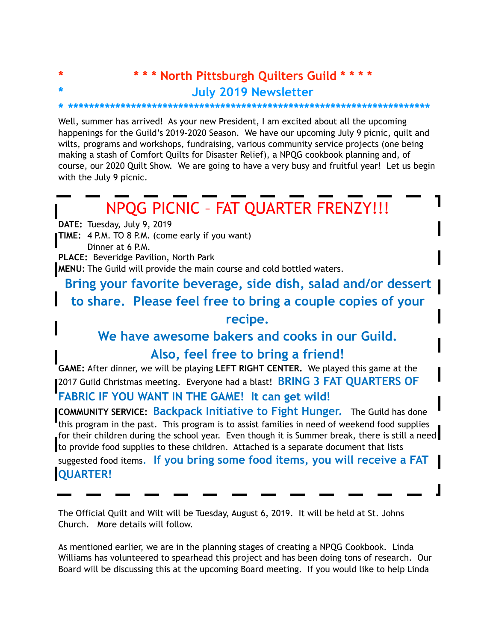## **\* \* \* \* North Pittsburgh Quilters Guild \* \* \* \* \* July 2019 Newsletter**

## **\* \*\*\*\*\*\*\*\*\*\*\*\*\*\*\*\*\*\*\*\*\*\*\*\*\*\*\*\*\*\*\*\*\*\*\*\*\*\*\*\*\*\*\*\*\*\*\*\*\*\*\*\*\*\*\*\*\*\*\*\*\*\*\*\*\*\*\*\*\***

Well, summer has arrived! As your new President, I am excited about all the upcoming happenings for the Guild's 2019-2020 Season. We have our upcoming July 9 picnic, quilt and wilts, programs and workshops, fundraising, various community service projects (one being making a stash of Comfort Quilts for Disaster Relief), a NPQG cookbook planning and, of course, our 2020 Quilt Show. We are going to have a very busy and fruitful year! Let us begin with the July 9 picnic.

## NPQG PICNIC – FAT QUARTER FRENZY!!!

**DATE:** Tuesday, July 9, 2019

**TIME:** 4 P.M. TO 8 P.M. (come early if you want)

Dinner at 6 P.M.

**PLACE:** Beveridge Pavilion, North Park

**MENU:** The Guild will provide the main course and cold bottled waters.

**Bring your favorite beverage, side dish, salad and/or dessert** 

**to share. Please feel free to bring a couple copies of your** 

**recipe.** 

**We have awesome bakers and cooks in our Guild.** 

## **Also, feel free to bring a friend!**

**GAME:** After dinner, we will be playing **LEFT RIGHT CENTER.** We played this game at the 2017 Guild Christmas meeting. Everyone had a blast! **BRING 3 FAT QUARTERS OF** 

**FABRIC IF YOU WANT IN THE GAME! It can get wild!** 

**COMMUNITY SERVICE: Backpack Initiative to Fight Hunger.** The Guild has done this program in the past. This program is to assist families in need of weekend food supplies for their children during the school year. Even though it is Summer break, there is still a need  $\blacksquare$ to provide food supplies to these children. Attached is a separate document that lists

suggested food items. **If you bring some food items, you will receive a FAT QUARTER!** 

The Official Quilt and Wilt will be Tuesday, August 6, 2019. It will be held at St. Johns Church. More details will follow.

As mentioned earlier, we are in the planning stages of creating a NPQG Cookbook. Linda Williams has volunteered to spearhead this project and has been doing tons of research. Our Board will be discussing this at the upcoming Board meeting. If you would like to help Linda